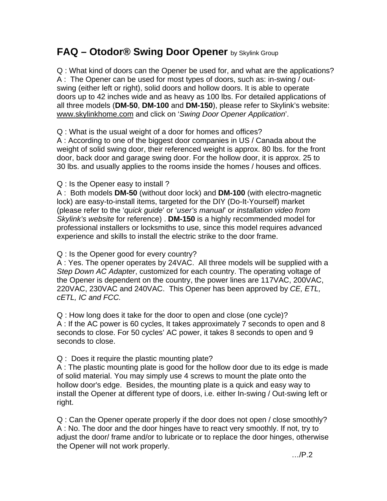## **FAQ – Otodor® Swing Door Opener** by Skylink Group

Q : What kind of doors can the Opener be used for, and what are the applications? A : The Opener can be used for most types of doors, such as: in-swing / outswing (either left or right), solid doors and hollow doors. It is able to operate doors up to 42 inches wide and as heavy as 100 lbs. For detailed applications of all three models (**DM-50**, **DM-100** and **DM-150**), please refer to Skylink's website: www.skylinkhome.com and click on '*Swing Door Opener Application*'.

Q : What is the usual weight of a door for homes and offices?

A : According to one of the biggest door companies in US / Canada about the weight of solid swing door, their referenced weight is approx. 80 lbs. for the front door, back door and garage swing door. For the hollow door, it is approx. 25 to 30 lbs. and usually applies to the rooms inside the homes / houses and offices.

Q : Is the Opener easy to install ?

A : Both models **DM-50** (without door lock) and **DM-100** (with electro-magnetic lock) are easy-to-install items, targeted for the DIY (Do-It-Yourself) market (please refer to the '*quick guide*' or '*user's manual*' or *installation video from Skylink's website* for reference) . **DM-150** is a highly recommended model for professional installers or locksmiths to use, since this model requires advanced experience and skills to install the electric strike to the door frame.

Q : Is the Opener good for every country?

A : Yes. The opener operates by 24VAC. All three models will be supplied with a *Step Down AC Adapter*, customized for each country. The operating voltage of the Opener is dependent on the country, the power lines are 117VAC, 200VAC, 220VAC, 230VAC and 240VAC. This Opener has been approved by *CE, ETL, cETL, IC and FCC.* 

Q : How long does it take for the door to open and close (one cycle)? A : If the AC power is 60 cycles, It takes approximately 7 seconds to open and 8 seconds to close. For 50 cycles' AC power, it takes 8 seconds to open and 9 seconds to close.

Q : Does it require the plastic mounting plate?

A : The plastic mounting plate is good for the hollow door due to its edge is made of solid material. You may simply use 4 screws to mount the plate onto the hollow door's edge. Besides, the mounting plate is a quick and easy way to install the Opener at different type of doors, i.e. either In-swing / Out-swing left or right.

Q : Can the Opener operate properly if the door does not open / close smoothly? A : No. The door and the door hinges have to react very smoothly. If not, try to adjust the door/ frame and/or to lubricate or to replace the door hinges, otherwise the Opener will not work properly.